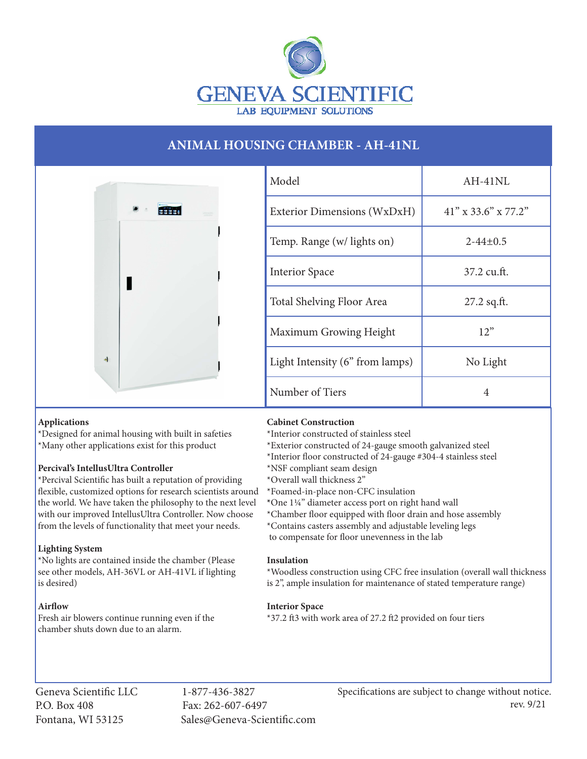

# **ANIMAL HOUSING CHAMBER - AH-41NL**



| Model                           | $AH-41NL$              |
|---------------------------------|------------------------|
| Exterior Dimensions (WxDxH)     | $41''$ x 33.6" x 77.2" |
| Temp. Range (w/ lights on)      | $2 - 44 + 0.5$         |
| <b>Interior Space</b>           | 37.2 cu.ft.            |
| Total Shelving Floor Area       | $27.2$ sq.ft.          |
| Maximum Growing Height          | 12"                    |
| Light Intensity (6" from lamps) | No Light               |
| Number of Tiers                 | 4                      |

# **Applications**

\*Designed for animal housing with built in safeties \*Many other applications exist for this product

#### **Percival's IntellusUltra Controller**

\*Percival Scientific has built a reputation of providing flexible, customized options for research scientists around the world. We have taken the philosophy to the next level with our improved IntellusUltra Controller. Now choose from the levels of functionality that meet your needs.

# **Lighting System**

\*No lights are contained inside the chamber (Please see other models, AH-36VL or AH-41VL if lighting is desired)

# **Airflow**

Fresh air blowers continue running even if the chamber shuts down due to an alarm.

# **Cabinet Construction**

- \*Interior constructed of stainless steel
- \*Exterior constructed of 24-gauge smooth galvanized steel
- \*Interior floor constructed of 24-gauge #304-4 stainless steel
- \*NSF compliant seam design
- \*Overall wall thickness 2"
- \*Foamed-in-place non-CFC insulation
- **\***One 1¼" diameter access port on right hand wall
- \*Chamber floor equipped with floor drain and hose assembly
- \*Contains casters assembly and adjustable leveling legs
- to compensate for floor unevenness in the lab

#### **Insulation**

\*Woodless construction using CFC free insulation (overall wall thickness is 2", ample insulation for maintenance of stated temperature range)

# **Interior Space**

\*37.2 ft3 with work area of 27.2 ft2 provided on four tiers

Geneva Scientific LLC 1-877-436-3827 P.O. Box 408 Fax: 262-607-6497

Fontana, WI 53125 Sales@Geneva-Scientific.com

Specifications are subject to change without notice. rev. 9/21